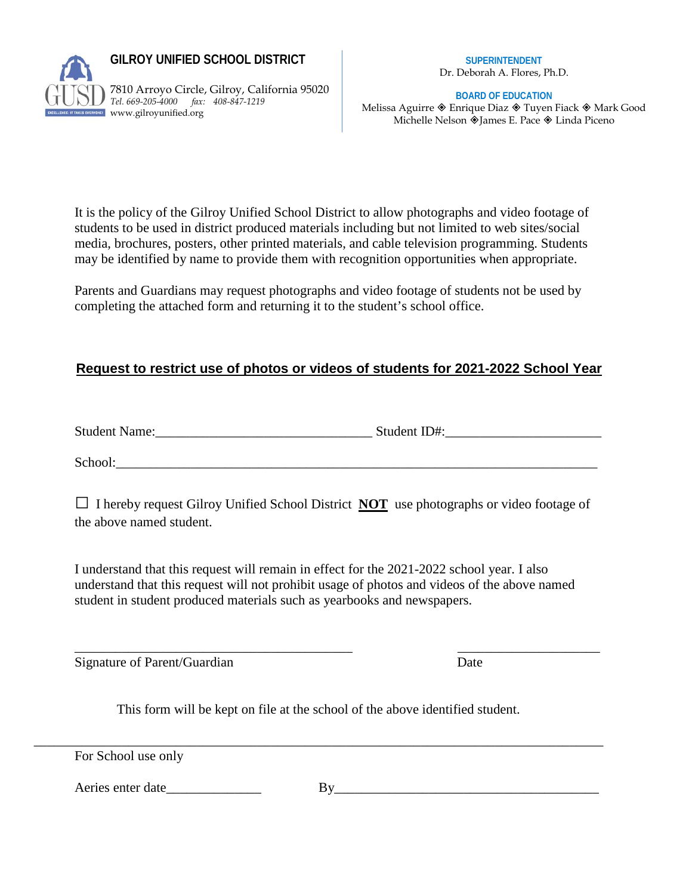

**GILROY UNIFIED SCHOOL DISTRICT** 

7810 Arroyo Circle, Gilroy, California 95020 *Tel. 669-205-4000 fax: 408-847-1219* EIT TAKES EVERTONEI WWW.gilroyunified.org

**SUPERINTENDENT** Dr. Deborah A. Flores, Ph.D.

**BOARD OF EDUCATION**

Melissa Aguirre  $\otimes$  Enrique Diaz  $\otimes$  Tuyen Fiack  $\otimes$  Mark Good Michelle Nelson  $\hat{\otimes}$  James E. Pace  $\hat{\otimes}$  Linda Piceno

It is the policy of the Gilroy Unified School District to allow photographs and video footage of students to be used in district produced materials including but not limited to web sites/social media, brochures, posters, other printed materials, and cable television programming. Students may be identified by name to provide them with recognition opportunities when appropriate.

Parents and Guardians may request photographs and video footage of students not be used by completing the attached form and returning it to the student's school office.

## **Request to restrict use of photos or videos of students for 2021-2022 School Year**

Student Name:\_\_\_\_\_\_\_\_\_\_\_\_\_\_\_\_\_\_\_\_\_\_\_\_\_\_\_\_\_\_\_\_ Student ID#:\_\_\_\_\_\_\_\_\_\_\_\_\_\_\_\_\_\_\_\_\_\_\_

School:

**□** I hereby request Gilroy Unified School District **NOT** use photographs or video footage of the above named student.

I understand that this request will remain in effect for the 2021-2022 school year. I also understand that this request will not prohibit usage of photos and videos of the above named student in student produced materials such as yearbooks and newspapers.

\_\_\_\_\_\_\_\_\_\_\_\_\_\_\_\_\_\_\_\_\_\_\_\_\_\_\_\_\_\_\_\_\_\_\_\_\_\_\_\_\_ \_\_\_\_\_\_\_\_\_\_\_\_\_\_\_\_\_\_\_\_\_ Signature of Parent/Guardian Date

This form will be kept on file at the school of the above identified student.

\_\_\_\_\_\_\_\_\_\_\_\_\_\_\_\_\_\_\_\_\_\_\_\_\_\_\_\_\_\_\_\_\_\_\_\_\_\_\_\_\_\_\_\_\_\_\_\_\_\_\_\_\_\_\_\_\_\_\_\_\_\_\_\_\_\_\_\_\_\_\_\_\_\_\_\_\_\_\_\_\_\_\_\_ For School use only

Aeries enter date\_\_\_\_\_\_\_\_\_\_\_\_\_\_ By\_\_\_\_\_\_\_\_\_\_\_\_\_\_\_\_\_\_\_\_\_\_\_\_\_\_\_\_\_\_\_\_\_\_\_\_\_\_\_